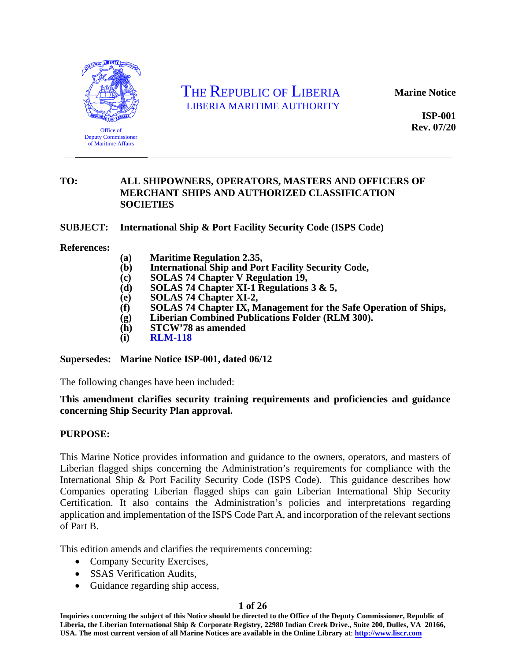

Office of Deputy Commissioner of Maritime Affairs

## THE REPUBLIC OF LIBERIA LIBERIA MARITIME AUTHORITY

**Marine Notice** 

**ISP-001 Rev. 07/20** 

#### **TO: ALL SHIPOWNERS, OPERATORS, MASTERS AND OFFICERS OF MERCHANT SHIPS AND AUTHORIZED CLASSIFICATION SOCIETIES**

**SUBJECT: International Ship & Port Facility Security Code (ISPS Code)** 

**References:** 

- **(a) Maritime Regulation 2.35,**
- **(b) International Ship and Port Facility Security Code,**
- **(c) SOLAS 74 Chapter V Regulation 19,**
- **(d) SOLAS 74 Chapter XI-1 Regulations 3 & 5,**
- **(e) SOLAS 74 Chapter XI-2,**
- **(f) SOLAS 74 Chapter IX, Management for the Safe Operation of Ships,**
- **(g) Liberian Combined Publications Folder (RLM 300).**
- **(h) STCW'78 as amended**
- **(i) [RLM-118](https://www.liscr.com/seafarers-certification-documentation-filing-agents)**

**Supersedes: Marine Notice ISP-001, dated 06/12** 

The following changes have been included:

#### **This amendment clarifies security training requirements and proficiencies and guidance concerning Ship Security Plan approval.**

#### **PURPOSE:**

This Marine Notice provides information and guidance to the owners, operators, and masters of Liberian flagged ships concerning the Administration's requirements for compliance with the International Ship & Port Facility Security Code (ISPS Code). This guidance describes how Companies operating Liberian flagged ships can gain Liberian International Ship Security Certification. It also contains the Administration's policies and interpretations regarding application and implementation of the ISPS Code Part A, and incorporation of the relevant sections of Part B.

This edition amends and clarifies the requirements concerning:

- Company Security Exercises,
- SSAS Verification Audits,
- Guidance regarding ship access,

#### **1 of 26**

**Inquiries concerning the subject of this Notice should be directed to the Office of the Deputy Commissioner, Republic of Liberia, the Liberian International Ship & Corporate Registry, 22980 Indian Creek Drive., Suite 200, Dulles, VA 20166, USA. The most current version of all Marine Notices are available in the Online Library at**: **http://www.liscr.com**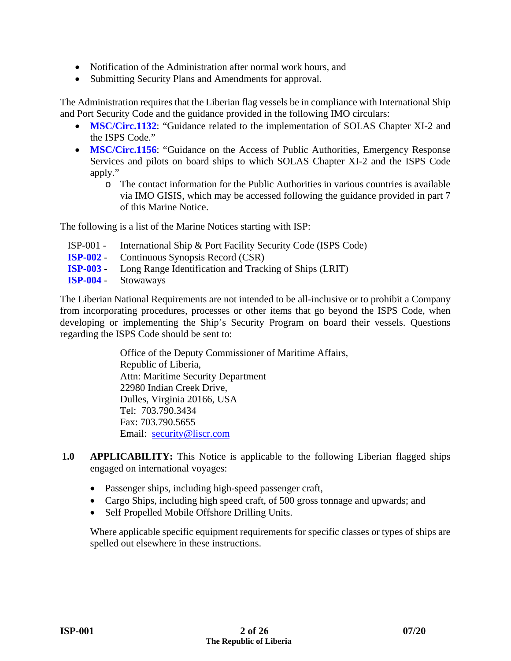- Notification of the Administration after normal work hours, and
- Submitting Security Plans and Amendments for approval.

The Administration requires that the Liberian flag vessels be in compliance with International Ship and Port Security Code and the guidance provided in the following IMO circulars:

- **[MSC/Circ.1132](https://www.liscr.com/sites/default/files/liscr_imo_resolutions/MSC.Circ_.1132%20-%20SOLAS%20CHAPTER%20XI-2%20AND%20THE%20ISPS%20CODE.pdf)**: "Guidance related to the implementation of SOLAS Chapter XI-2 and the ISPS Code."
- **[MSC/Circ.1156](https://www.liscr.com/sites/default/files/liscr_imo_resolutions/MSC.Circ_.1156%20-%20SOLAS%20CHAPTER%20XI-2%20AND%20THE%20ISPS%20CODE%20APPLY%20.pdf)**: "Guidance on the Access of Public Authorities, Emergency Response Services and pilots on board ships to which SOLAS Chapter XI-2 and the ISPS Code apply."
	- o The contact information for the Public Authorities in various countries is available via IMO GISIS, which may be accessed following the guidance provided in part 7 of this Marine Notice.

The following is a list of the Marine Notices starting with ISP:

- ISP-001 International Ship & Port Facility Security Code (ISPS Code)
- **[ISP-002](https://www.liscr.com/sites/default/files/online_library/ISP-002_Rev.06-12.pdf)** Continuous Synopsis Record (CSR)
- **[ISP-003](https://www.liscr.com/sites/default/files/online_library/ISP-003_Rev.04-20.pdf)** Long Range Identification and Tracking of Ships (LRIT)
- **[ISP-004](https://www.liscr.com/sites/default/files/online_library/ISP-004_11-13_NEW.pdf)** Stowaways

The Liberian National Requirements are not intended to be all-inclusive or to prohibit a Company from incorporating procedures, processes or other items that go beyond the ISPS Code, when developing or implementing the Ship's Security Program on board their vessels. Questions regarding the ISPS Code should be sent to:

> Office of the Deputy Commissioner of Maritime Affairs, Republic of Liberia, Attn: Maritime Security Department 22980 Indian Creek Drive, Dulles, Virginia 20166, USA Tel: 703.790.3434 Fax: 703.790.5655 Email: security@liscr.com

- **1.0 APPLICABILITY:** This Notice is applicable to the following Liberian flagged ships engaged on international voyages:
	- Passenger ships, including high-speed passenger craft,
	- Cargo Ships, including high speed craft, of 500 gross tonnage and upwards; and
	- Self Propelled Mobile Offshore Drilling Units.

Where applicable specific equipment requirements for specific classes or types of ships are spelled out elsewhere in these instructions.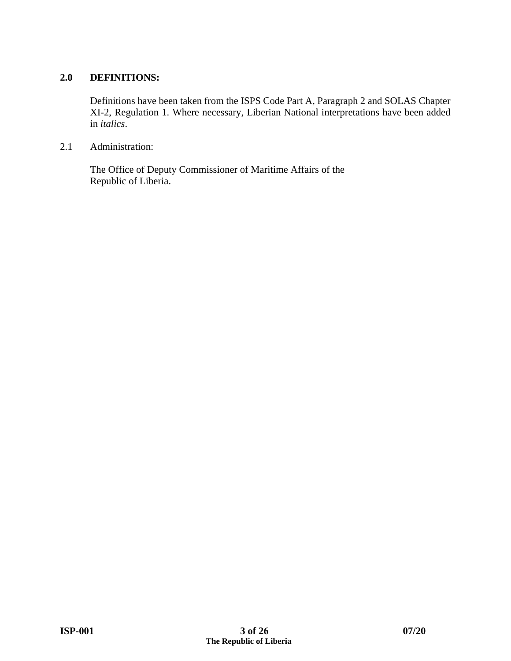#### **2.0 DEFINITIONS:**

Definitions have been taken from the ISPS Code Part A, Paragraph 2 and SOLAS Chapter XI-2, Regulation 1. Where necessary, Liberian National interpretations have been added in *italics*.

2.1 Administration:

The Office of Deputy Commissioner of Maritime Affairs of the Republic of Liberia.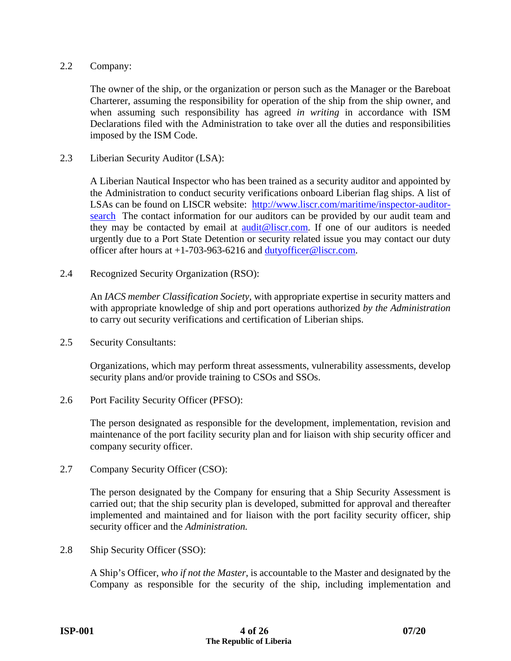#### 2.2 Company:

The owner of the ship, or the organization or person such as the Manager or the Bareboat Charterer, assuming the responsibility for operation of the ship from the ship owner, and when assuming such responsibility has agreed *in writing* in accordance with ISM Declarations filed with the Administration to take over all the duties and responsibilities imposed by the ISM Code.

2.3 Liberian Security Auditor (LSA):

A Liberian Nautical Inspector who has been trained as a security auditor and appointed by the Administration to conduct security verifications onboard Liberian flag ships. A list of LSAs can be found on LISCR website: http://www.liscr.com/maritime/inspector-auditorsearch The contact information for our auditors can be provided by our audit team and they may be contacted by email at audit@liscr.com. If one of our auditors is needed urgently due to a Port State Detention or security related issue you may contact our duty officer after hours at  $+1-703-963-6216$  and dutyofficer@liscr.com.

2.4 Recognized Security Organization (RSO):

An *IACS member Classification Society,* with appropriate expertise in security matters and with appropriate knowledge of ship and port operations authorized *by the Administration* to carry out security verifications and certification of Liberian ships.

2.5 Security Consultants:

Organizations, which may perform threat assessments, vulnerability assessments, develop security plans and/or provide training to CSOs and SSOs.

2.6 Port Facility Security Officer (PFSO):

The person designated as responsible for the development, implementation, revision and maintenance of the port facility security plan and for liaison with ship security officer and company security officer.

2.7 Company Security Officer (CSO):

The person designated by the Company for ensuring that a Ship Security Assessment is carried out; that the ship security plan is developed, submitted for approval and thereafter implemented and maintained and for liaison with the port facility security officer, ship security officer and the *Administration.* 

2.8 Ship Security Officer (SSO):

A Ship's Officer, *who if not the Master*, is accountable to the Master and designated by the Company as responsible for the security of the ship, including implementation and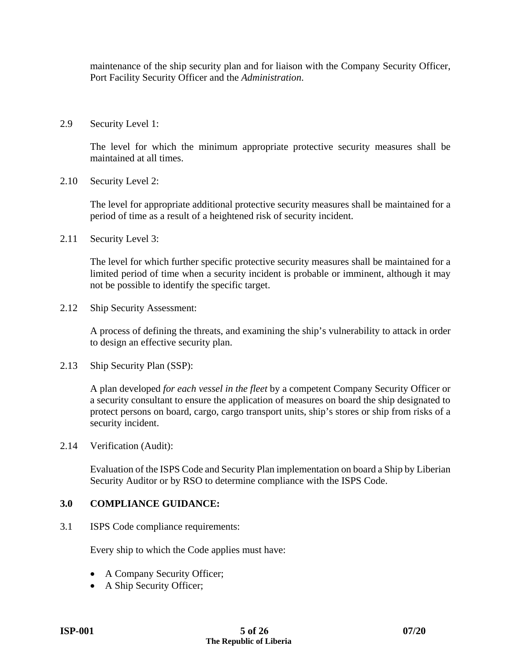maintenance of the ship security plan and for liaison with the Company Security Officer, Port Facility Security Officer and the *Administration*.

2.9 Security Level 1:

The level for which the minimum appropriate protective security measures shall be maintained at all times.

2.10 Security Level 2:

The level for appropriate additional protective security measures shall be maintained for a period of time as a result of a heightened risk of security incident.

2.11 Security Level 3:

The level for which further specific protective security measures shall be maintained for a limited period of time when a security incident is probable or imminent, although it may not be possible to identify the specific target.

2.12 Ship Security Assessment:

A process of defining the threats, and examining the ship's vulnerability to attack in order to design an effective security plan.

2.13 Ship Security Plan (SSP):

A plan developed *for each vessel in the fleet* by a competent Company Security Officer or a security consultant to ensure the application of measures on board the ship designated to protect persons on board, cargo, cargo transport units, ship's stores or ship from risks of a security incident.

2.14 Verification (Audit):

Evaluation of the ISPS Code and Security Plan implementation on board a Ship by Liberian Security Auditor or by RSO to determine compliance with the ISPS Code.

#### **3.0 COMPLIANCE GUIDANCE:**

3.1 ISPS Code compliance requirements:

Every ship to which the Code applies must have:

- A Company Security Officer;
- A Ship Security Officer;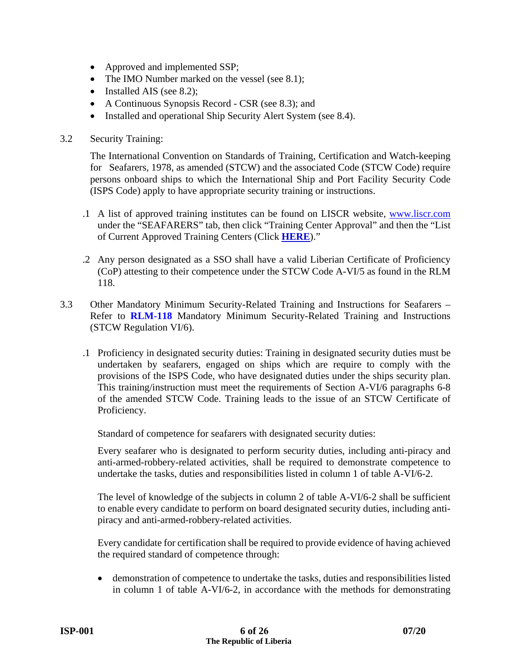- Approved and implemented SSP;
- The IMO Number marked on the vessel (see 8.1);
- Installed AIS (see 8.2);
- A Continuous Synopsis Record CSR (see 8.3); and
- Installed and operational Ship Security Alert System (see 8.4).

#### 3.2 Security Training:

The International Convention on Standards of Training, Certification and Watch-keeping for Seafarers, 1978, as amended (STCW) and the associated Code (STCW Code) require persons onboard ships to which the International Ship and Port Facility Security Code (ISPS Code) apply to have appropriate security training or instructions.

- .1 A list of approved training institutes can be found on LISCR website, www.liscr.com under the "SEAFARERS" tab, then click "Training Center Approval" and then the "List of Current Approved Training Centers (Click **[HERE](http://www.liscr.com/training-center-approval)**)."
- .2 Any person designated as a SSO shall have a valid Liberian Certificate of Proficiency (CoP) attesting to their competence under the STCW Code A-VI/5 as found in the RLM 118.
- 3.3 Other Mandatory Minimum Security-Related Training and Instructions for Seafarers Refer to **[RLM-118](https://www.liscr.com/seafarers-certification-documentation-filing-agents)** Mandatory Minimum Security-Related Training and Instructions (STCW Regulation VI/6).
	- .1 Proficiency in designated security duties: Training in designated security duties must be undertaken by seafarers, engaged on ships which are require to comply with the provisions of the ISPS Code, who have designated duties under the ships security plan. This training/instruction must meet the requirements of Section A-VI/6 paragraphs 6-8 of the amended STCW Code. Training leads to the issue of an STCW Certificate of Proficiency.

Standard of competence for seafarers with designated security duties:

Every seafarer who is designated to perform security duties, including anti-piracy and anti-armed-robbery-related activities, shall be required to demonstrate competence to undertake the tasks, duties and responsibilities listed in column 1 of table A-VI/6-2.

The level of knowledge of the subjects in column 2 of table A-VI/6-2 shall be sufficient to enable every candidate to perform on board designated security duties, including antipiracy and anti-armed-robbery-related activities.

Every candidate for certification shall be required to provide evidence of having achieved the required standard of competence through:

 demonstration of competence to undertake the tasks, duties and responsibilities listed in column 1 of table A-VI/6-2, in accordance with the methods for demonstrating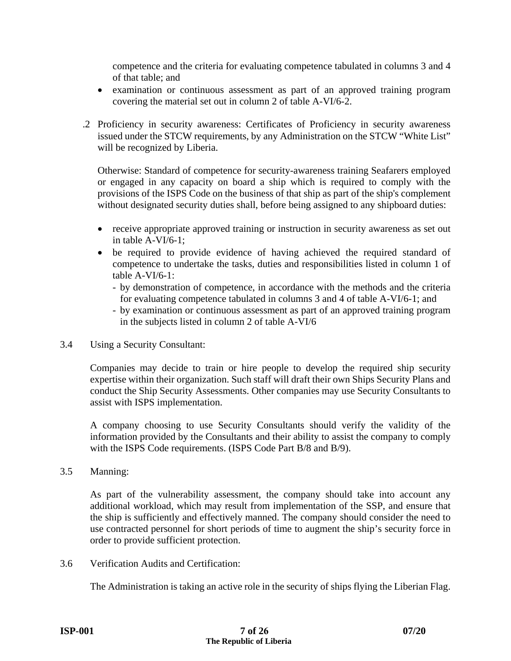competence and the criteria for evaluating competence tabulated in columns 3 and 4 of that table; and

- examination or continuous assessment as part of an approved training program covering the material set out in column 2 of table A-VI/6-2.
- .2 Proficiency in security awareness: Certificates of Proficiency in security awareness issued under the STCW requirements, by any Administration on the STCW "White List" will be recognized by Liberia.

Otherwise: Standard of competence for security-awareness training Seafarers employed or engaged in any capacity on board a ship which is required to comply with the provisions of the ISPS Code on the business of that ship as part of the ship's complement without designated security duties shall, before being assigned to any shipboard duties:

- receive appropriate approved training or instruction in security awareness as set out in table A-VI/6-1;
- be required to provide evidence of having achieved the required standard of competence to undertake the tasks, duties and responsibilities listed in column 1 of table A-VI/6-1:
	- by demonstration of competence, in accordance with the methods and the criteria for evaluating competence tabulated in columns 3 and 4 of table A-VI/6-1; and
	- by examination or continuous assessment as part of an approved training program in the subjects listed in column 2 of table A-VI/6
- 3.4 Using a Security Consultant:

Companies may decide to train or hire people to develop the required ship security expertise within their organization. Such staff will draft their own Ships Security Plans and conduct the Ship Security Assessments. Other companies may use Security Consultants to assist with ISPS implementation.

A company choosing to use Security Consultants should verify the validity of the information provided by the Consultants and their ability to assist the company to comply with the ISPS Code requirements. (ISPS Code Part B/8 and B/9).

3.5 Manning:

As part of the vulnerability assessment, the company should take into account any additional workload, which may result from implementation of the SSP, and ensure that the ship is sufficiently and effectively manned. The company should consider the need to use contracted personnel for short periods of time to augment the ship's security force in order to provide sufficient protection.

3.6 Verification Audits and Certification:

The Administration is taking an active role in the security of ships flying the Liberian Flag.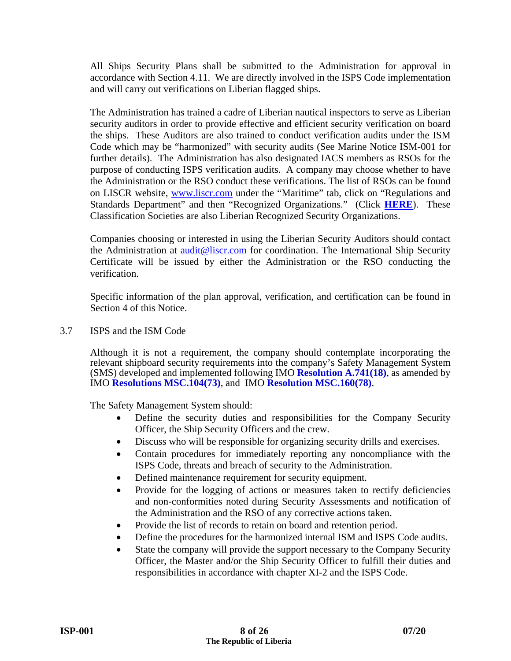All Ships Security Plans shall be submitted to the Administration for approval in accordance with Section 4.11. We are directly involved in the ISPS Code implementation and will carry out verifications on Liberian flagged ships.

The Administration has trained a cadre of Liberian nautical inspectors to serve as Liberian security auditors in order to provide effective and efficient security verification on board the ships. These Auditors are also trained to conduct verification audits under the ISM Code which may be "harmonized" with security audits (See Marine Notice ISM-001 for further details). The Administration has also designated IACS members as RSOs for the purpose of conducting ISPS verification audits. A company may choose whether to have the Administration or the RSO conduct these verifications. The list of RSOs can be found on LISCR website, www.liscr.com under the "Maritime" tab, click on "Regulations and Standards Department" and then "Recognized Organizations." (Click **[HERE](http://www.liscr.com/liscr/Maritime/MaritimeFAQ/InspectionSurvey/tabid/120/Default.aspx)**). These Classification Societies are also Liberian Recognized Security Organizations.

Companies choosing or interested in using the Liberian Security Auditors should contact the Administration at audit@liscr.com for coordination. The International Ship Security Certificate will be issued by either the Administration or the RSO conducting the verification.

Specific information of the plan approval, verification, and certification can be found in Section 4 of this Notice.

3.7 ISPS and the ISM Code

Although it is not a requirement, the company should contemplate incorporating the relevant shipboard security requirements into the company's Safety Management System (SMS) developed and implemented following IMO **[Resolution](https://www.liscr.com/sites/default/files/liscr_imo_resolutions/A.741%2818%29_ISM%20Code.pdf) A.741(18)**, as amended by IMO **[Resolutions MSC.104\(73\)](https://www.liscr.com/sites/default/files/liscr_imo_resolutions/Res%20MSC.104%2873%29%20-%20Adoption%20of%20Amnts.%20to%20the%20Intl.%20Safety%20Management%20%28ISM%29%20Code.pdf)**, and IMO **[Resolution MSC.160\(78\)](https://www.liscr.com/sites/default/files/liscr_imo_resolutions/Res%20MSC.160%2878%29%20-%20Adoption%20of%20the%20IMO%20Unique%20Company%20and%20Registered%20Owners%20Identification%20Number%20Scheme_0.pdf)**.

The Safety Management System should:

- Define the security duties and responsibilities for the Company Security Officer, the Ship Security Officers and the crew.
- Discuss who will be responsible for organizing security drills and exercises.
- Contain procedures for immediately reporting any noncompliance with the ISPS Code, threats and breach of security to the Administration.
- Defined maintenance requirement for security equipment.
- Provide for the logging of actions or measures taken to rectify deficiencies and non-conformities noted during Security Assessments and notification of the Administration and the RSO of any corrective actions taken.
- Provide the list of records to retain on board and retention period.
- Define the procedures for the harmonized internal ISM and ISPS Code audits.
- State the company will provide the support necessary to the Company Security Officer, the Master and/or the Ship Security Officer to fulfill their duties and responsibilities in accordance with chapter XI-2 and the ISPS Code.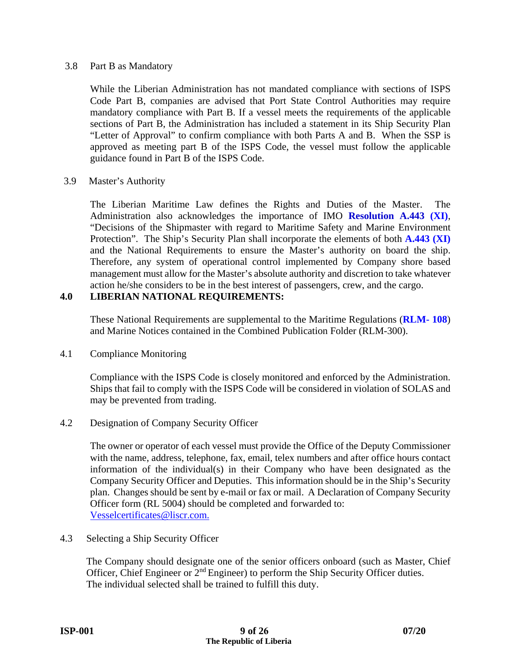#### 3.8 Part B as Mandatory

While the Liberian Administration has not mandated compliance with sections of ISPS Code Part B, companies are advised that Port State Control Authorities may require mandatory compliance with Part B. If a vessel meets the requirements of the applicable sections of Part B, the Administration has included a statement in its Ship Security Plan "Letter of Approval" to confirm compliance with both Parts A and B. When the SSP is approved as meeting part B of the ISPS Code, the vessel must follow the applicable guidance found in Part B of the ISPS Code.

#### 3.9 Master's Authority

The Liberian Maritime Law defines the Rights and Duties of the Master. The Administration also acknowledges the importance of IMO **[Resolution A.443](https://www.liscr.com/sites/default/files/liscr_imo_resolutions/ResA.443%28XI%29.pdf) (XI)**, "Decisions of the Shipmaster with regard to Maritime Safety and Marine Environment Protection". The Ship's Security Plan shall incorporate the elements of both **[A.443 \(XI\)](https://www.liscr.com/sites/default/files/liscr_imo_resolutions/ResA.443%28XI%29.pdf)** and the National Requirements to ensure the Master's authority on board the ship. Therefore, any system of operational control implemented by Company shore based management must allow for the Master's absolute authority and discretion to take whatever action he/she considers to be in the best interest of passengers, crew, and the cargo.

#### **4.0 LIBERIAN NATIONAL REQUIREMENTS:**

These National Requirements are supplemental to the Maritime Regulations (**[RLM- 108](https://www.liscr.com/liberian-maritime-law)**) and Marine Notices contained in the Combined Publication Folder (RLM-300).

#### 4.1 Compliance Monitoring

Compliance with the ISPS Code is closely monitored and enforced by the Administration. Ships that fail to comply with the ISPS Code will be considered in violation of SOLAS and may be prevented from trading.

#### 4.2 Designation of Company Security Officer

The owner or operator of each vessel must provide the Office of the Deputy Commissioner with the name, address, telephone, fax, email, telex numbers and after office hours contact information of the individual(s) in their Company who have been designated as the Company Security Officer and Deputies. This information should be in the Ship's Security plan. Changes should be sent by e-mail or fax or mail. A Declaration of Company Security Officer form (RL 5004) should be completed and forwarded to: Vesselcertificates@liscr.com.

#### 4.3 Selecting a Ship Security Officer

The Company should designate one of the senior officers onboard (such as Master, Chief Officer, Chief Engineer or 2nd Engineer) to perform the Ship Security Officer duties. The individual selected shall be trained to fulfill this duty.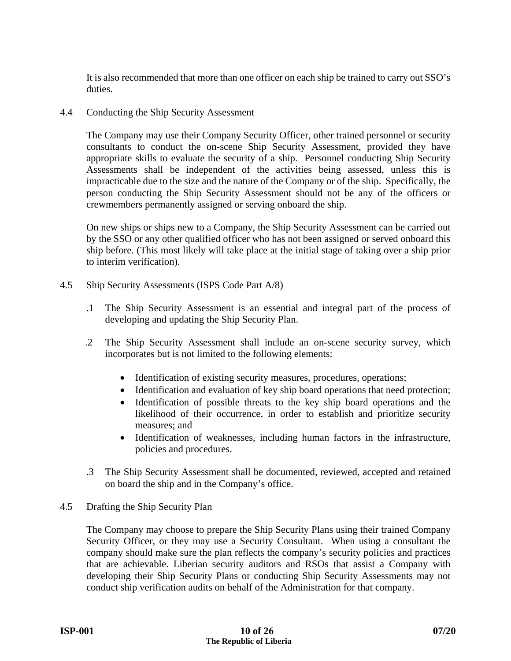It is also recommended that more than one officer on each ship be trained to carry out SSO's duties.

4.4 Conducting the Ship Security Assessment

The Company may use their Company Security Officer, other trained personnel or security consultants to conduct the on-scene Ship Security Assessment, provided they have appropriate skills to evaluate the security of a ship. Personnel conducting Ship Security Assessments shall be independent of the activities being assessed, unless this is impracticable due to the size and the nature of the Company or of the ship. Specifically, the person conducting the Ship Security Assessment should not be any of the officers or crewmembers permanently assigned or serving onboard the ship.

On new ships or ships new to a Company, the Ship Security Assessment can be carried out by the SSO or any other qualified officer who has not been assigned or served onboard this ship before. (This most likely will take place at the initial stage of taking over a ship prior to interim verification).

- 4.5 Ship Security Assessments (ISPS Code Part A/8)
	- .1 The Ship Security Assessment is an essential and integral part of the process of developing and updating the Ship Security Plan.
	- .2 The Ship Security Assessment shall include an on-scene security survey, which incorporates but is not limited to the following elements:
		- Identification of existing security measures, procedures, operations;
		- Identification and evaluation of key ship board operations that need protection;
		- Identification of possible threats to the key ship board operations and the likelihood of their occurrence, in order to establish and prioritize security measures; and
		- Identification of weaknesses, including human factors in the infrastructure, policies and procedures.
	- .3 The Ship Security Assessment shall be documented, reviewed, accepted and retained on board the ship and in the Company's office.
- 4.5 Drafting the Ship Security Plan

The Company may choose to prepare the Ship Security Plans using their trained Company Security Officer, or they may use a Security Consultant. When using a consultant the company should make sure the plan reflects the company's security policies and practices that are achievable. Liberian security auditors and RSOs that assist a Company with developing their Ship Security Plans or conducting Ship Security Assessments may not conduct ship verification audits on behalf of the Administration for that company.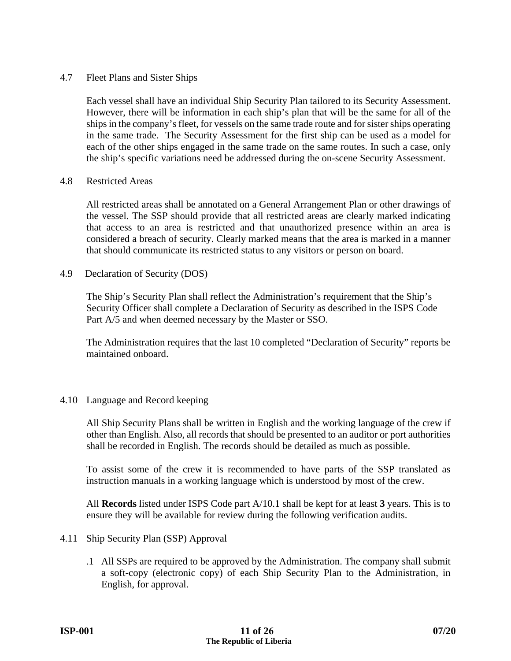#### 4.7 Fleet Plans and Sister Ships

Each vessel shall have an individual Ship Security Plan tailored to its Security Assessment. However, there will be information in each ship's plan that will be the same for all of the ships in the company's fleet, for vessels on the same trade route and for sister ships operating in the same trade. The Security Assessment for the first ship can be used as a model for each of the other ships engaged in the same trade on the same routes. In such a case, only the ship's specific variations need be addressed during the on-scene Security Assessment.

#### 4.8 Restricted Areas

All restricted areas shall be annotated on a General Arrangement Plan or other drawings of the vessel. The SSP should provide that all restricted areas are clearly marked indicating that access to an area is restricted and that unauthorized presence within an area is considered a breach of security. Clearly marked means that the area is marked in a manner that should communicate its restricted status to any visitors or person on board.

#### 4.9 Declaration of Security (DOS)

The Ship's Security Plan shall reflect the Administration's requirement that the Ship's Security Officer shall complete a Declaration of Security as described in the ISPS Code Part A/5 and when deemed necessary by the Master or SSO.

The Administration requires that the last 10 completed "Declaration of Security" reports be maintained onboard.

#### 4.10 Language and Record keeping

All Ship Security Plans shall be written in English and the working language of the crew if other than English. Also, all records that should be presented to an auditor or port authorities shall be recorded in English. The records should be detailed as much as possible.

To assist some of the crew it is recommended to have parts of the SSP translated as instruction manuals in a working language which is understood by most of the crew.

All **Records** listed under ISPS Code part A/10.1 shall be kept for at least **3** years. This is to ensure they will be available for review during the following verification audits.

- 4.11 Ship Security Plan (SSP) Approval
	- .1All SSPs are required to be approved by the Administration. The company shall submit a soft-copy (electronic copy) of each Ship Security Plan to the Administration, in English, for approval.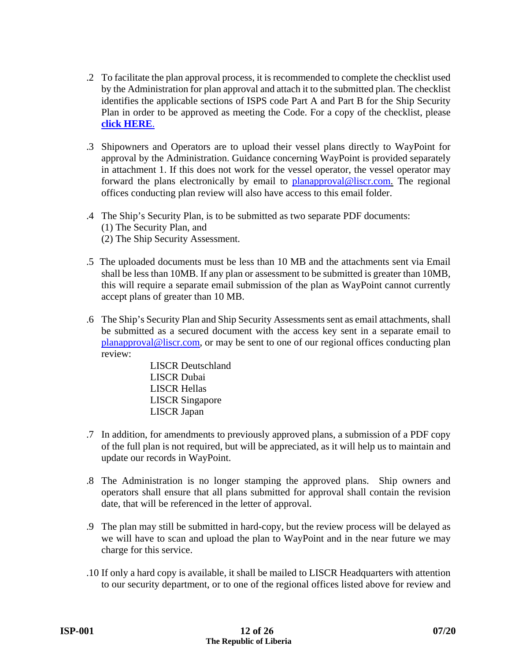- .2 To facilitate the plan approval process, it is recommended to complete the checklist used by the Administration for plan approval and attach it to the submitted plan. The checklist identifies the applicable sections of ISPS code Part A and Part B for the Ship Security Plan in order to be approved as meeting the Code. For a copy of the checklist, please **[click HERE](https://www.liscr.com/sites/default/files/online_library/SSPQuestionnaire_Revised_April_2012.pdf)**.
- .3 Shipowners and Operators are to upload their vessel plans directly to WayPoint for approval by the Administration. Guidance concerning WayPoint is provided separately in attachment 1. If this does not work for the vessel operator, the vessel operator may forward the plans electronically by email to planapproval@liscr.com. The regional offices conducting plan review will also have access to this email folder.
- .4 The Ship's Security Plan, is to be submitted as two separate PDF documents: (1) The Security Plan, and (2) The Ship Security Assessment.
- .5The uploaded documents must be less than 10 MB and the attachments sent via Email shall be less than 10MB. If any plan or assessment to be submitted is greater than 10MB, this will require a separate email submission of the plan as WayPoint cannot currently accept plans of greater than 10 MB.
- .6 The Ship's Security Plan and Ship Security Assessments sent as email attachments, shall be submitted as a secured document with the access key sent in a separate email to planapproval@liscr.com, or may be sent to one of our regional offices conducting plan review:

 LISCR Deutschland LISCR Dubai LISCR Hellas LISCR Singapore LISCR Japan

- .7In addition, for amendments to previously approved plans, a submission of a PDF copy of the full plan is not required, but will be appreciated, as it will help us to maintain and update our records in WayPoint.
- .8 The Administration is no longer stamping the approved plans. Ship owners and operators shall ensure that all plans submitted for approval shall contain the revision date, that will be referenced in the letter of approval.
- .9The plan may still be submitted in hard-copy, but the review process will be delayed as we will have to scan and upload the plan to WayPoint and in the near future we may charge for this service.
- .10 If only a hard copy is available, it shall be mailed to LISCR Headquarters with attention to our security department, or to one of the regional offices listed above for review and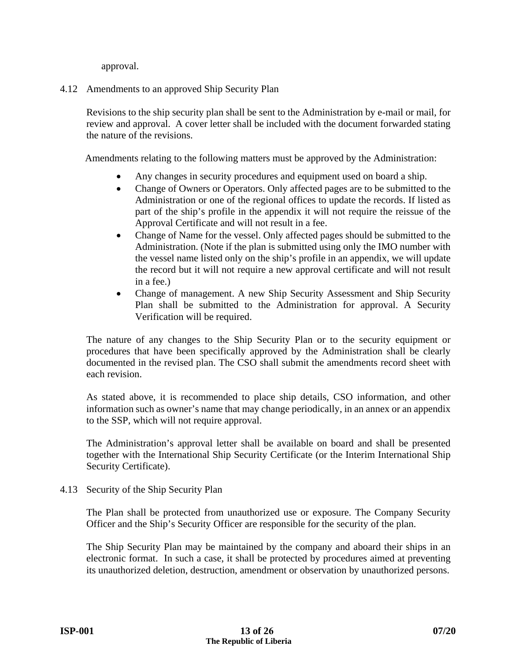approval.

#### 4.12 Amendments to an approved Ship Security Plan

Revisions to the ship security plan shall be sent to the Administration by e-mail or mail, for review and approval. A cover letter shall be included with the document forwarded stating the nature of the revisions.

Amendments relating to the following matters must be approved by the Administration:

- Any changes in security procedures and equipment used on board a ship.
- Change of Owners or Operators. Only affected pages are to be submitted to the Administration or one of the regional offices to update the records. If listed as part of the ship's profile in the appendix it will not require the reissue of the Approval Certificate and will not result in a fee.
- Change of Name for the vessel. Only affected pages should be submitted to the Administration. (Note if the plan is submitted using only the IMO number with the vessel name listed only on the ship's profile in an appendix, we will update the record but it will not require a new approval certificate and will not result in a fee.)
- Change of management. A new Ship Security Assessment and Ship Security Plan shall be submitted to the Administration for approval. A Security Verification will be required.

The nature of any changes to the Ship Security Plan or to the security equipment or procedures that have been specifically approved by the Administration shall be clearly documented in the revised plan. The CSO shall submit the amendments record sheet with each revision.

As stated above, it is recommended to place ship details, CSO information, and other information such as owner's name that may change periodically, in an annex or an appendix to the SSP, which will not require approval.

The Administration's approval letter shall be available on board and shall be presented together with the International Ship Security Certificate (or the Interim International Ship Security Certificate).

4.13 Security of the Ship Security Plan

The Plan shall be protected from unauthorized use or exposure. The Company Security Officer and the Ship's Security Officer are responsible for the security of the plan.

The Ship Security Plan may be maintained by the company and aboard their ships in an electronic format. In such a case, it shall be protected by procedures aimed at preventing its unauthorized deletion, destruction, amendment or observation by unauthorized persons.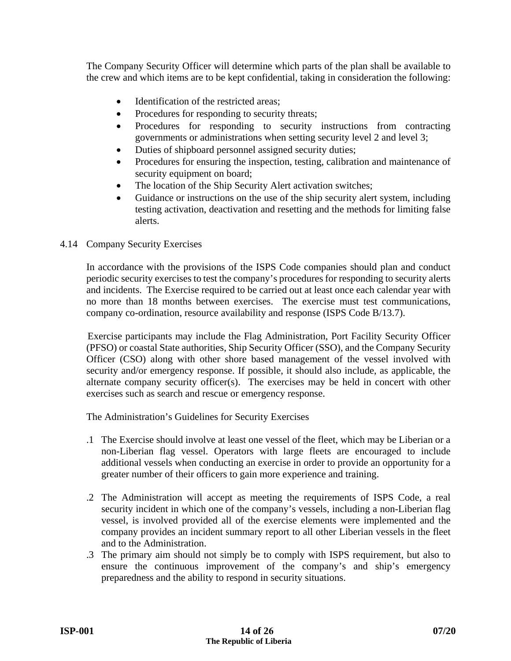The Company Security Officer will determine which parts of the plan shall be available to the crew and which items are to be kept confidential, taking in consideration the following:

- Identification of the restricted areas;
- Procedures for responding to security threats;
- Procedures for responding to security instructions from contracting governments or administrations when setting security level 2 and level 3;
- Duties of shipboard personnel assigned security duties;
- Procedures for ensuring the inspection, testing, calibration and maintenance of security equipment on board;
- The location of the Ship Security Alert activation switches;
- Guidance or instructions on the use of the ship security alert system, including testing activation, deactivation and resetting and the methods for limiting false alerts.

#### 4.14 Company Security Exercises

In accordance with the provisions of the ISPS Code companies should plan and conduct periodic security exercises to test the company's procedures for responding to security alerts and incidents. The Exercise required to be carried out at least once each calendar year with no more than 18 months between exercises. The exercise must test communications, company co-ordination, resource availability and response (ISPS Code B/13.7).

 Exercise participants may include the Flag Administration, Port Facility Security Officer (PFSO) or coastal State authorities, Ship Security Officer (SSO), and the Company Security Officer (CSO) along with other shore based management of the vessel involved with security and/or emergency response. If possible, it should also include, as applicable, the alternate company security officer(s). The exercises may be held in concert with other exercises such as search and rescue or emergency response.

The Administration's Guidelines for Security Exercises

- .1 The Exercise should involve at least one vessel of the fleet, which may be Liberian or a non-Liberian flag vessel. Operators with large fleets are encouraged to include additional vessels when conducting an exercise in order to provide an opportunity for a greater number of their officers to gain more experience and training.
- .2 The Administration will accept as meeting the requirements of ISPS Code, a real security incident in which one of the company's vessels, including a non-Liberian flag vessel, is involved provided all of the exercise elements were implemented and the company provides an incident summary report to all other Liberian vessels in the fleet and to the Administration.
- .3 The primary aim should not simply be to comply with ISPS requirement, but also to ensure the continuous improvement of the company's and ship's emergency preparedness and the ability to respond in security situations.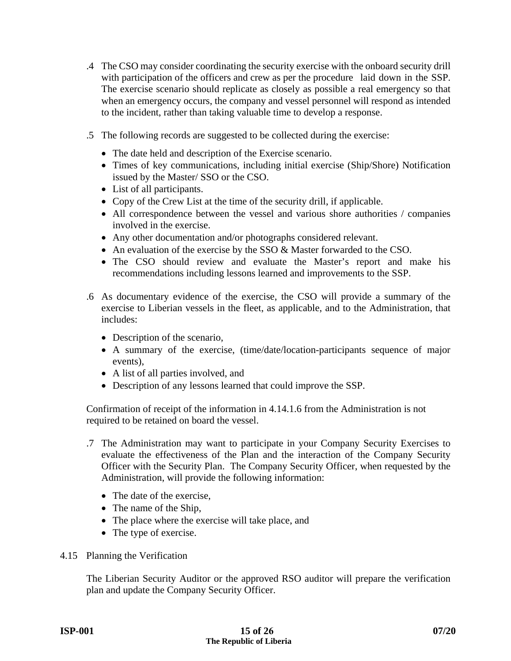- .4 The CSO may consider coordinating the security exercise with the onboard security drill with participation of the officers and crew as per the procedure laid down in the SSP. The exercise scenario should replicate as closely as possible a real emergency so that when an emergency occurs, the company and vessel personnel will respond as intended to the incident, rather than taking valuable time to develop a response.
- .5 The following records are suggested to be collected during the exercise:
	- The date held and description of the Exercise scenario.
	- Times of key communications, including initial exercise (Ship/Shore) Notification issued by the Master/ SSO or the CSO.
	- List of all participants.
	- Copy of the Crew List at the time of the security drill, if applicable.
	- All correspondence between the vessel and various shore authorities / companies involved in the exercise.
	- Any other documentation and/or photographs considered relevant.
	- An evaluation of the exercise by the SSO & Master forwarded to the CSO.
	- The CSO should review and evaluate the Master's report and make his recommendations including lessons learned and improvements to the SSP.
- .6 As documentary evidence of the exercise, the CSO will provide a summary of the exercise to Liberian vessels in the fleet, as applicable, and to the Administration, that includes:
	- Description of the scenario,
	- A summary of the exercise, (time/date/location-participants sequence of major events),
	- A list of all parties involved, and
	- Description of any lessons learned that could improve the SSP.

Confirmation of receipt of the information in 4.14.1.6 from the Administration is not required to be retained on board the vessel.

- .7 The Administration may want to participate in your Company Security Exercises to evaluate the effectiveness of the Plan and the interaction of the Company Security Officer with the Security Plan. The Company Security Officer, when requested by the Administration, will provide the following information:
	- The date of the exercise.
	- The name of the Ship,
	- The place where the exercise will take place, and
	- The type of exercise.
- 4.15 Planning the Verification

The Liberian Security Auditor or the approved RSO auditor will prepare the verification plan and update the Company Security Officer.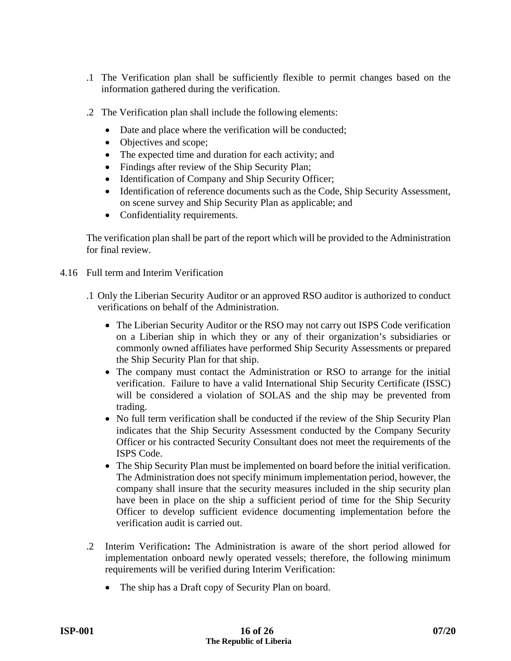- .1 The Verification plan shall be sufficiently flexible to permit changes based on the information gathered during the verification.
- .2 The Verification plan shall include the following elements:
	- Date and place where the verification will be conducted;
	- Objectives and scope;
	- The expected time and duration for each activity; and
	- Findings after review of the Ship Security Plan;
	- Identification of Company and Ship Security Officer;
	- Identification of reference documents such as the Code, Ship Security Assessment, on scene survey and Ship Security Plan as applicable; and
	- Confidentiality requirements.

The verification plan shall be part of the report which will be provided to the Administration for final review.

- 4.16 Full term and Interim Verification
	- .1 Only the Liberian Security Auditor or an approved RSO auditor is authorized to conduct verifications on behalf of the Administration.
		- The Liberian Security Auditor or the RSO may not carry out ISPS Code verification on a Liberian ship in which they or any of their organization's subsidiaries or commonly owned affiliates have performed Ship Security Assessments or prepared the Ship Security Plan for that ship.
		- The company must contact the Administration or RSO to arrange for the initial verification. Failure to have a valid International Ship Security Certificate (ISSC) will be considered a violation of SOLAS and the ship may be prevented from trading.
		- No full term verification shall be conducted if the review of the Ship Security Plan indicates that the Ship Security Assessment conducted by the Company Security Officer or his contracted Security Consultant does not meet the requirements of the ISPS Code.
		- The Ship Security Plan must be implemented on board before the initial verification. The Administration does not specify minimum implementation period, however, the company shall insure that the security measures included in the ship security plan have been in place on the ship a sufficient period of time for the Ship Security Officer to develop sufficient evidence documenting implementation before the verification audit is carried out.
	- .2 Interim Verification**:** The Administration is aware of the short period allowed for implementation onboard newly operated vessels; therefore, the following minimum requirements will be verified during Interim Verification:
		- The ship has a Draft copy of Security Plan on board.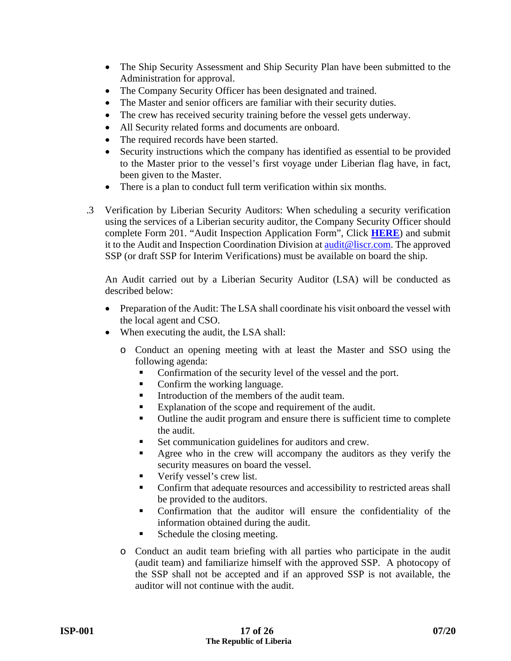- The Ship Security Assessment and Ship Security Plan have been submitted to the Administration for approval.
- The Company Security Officer has been designated and trained.
- The Master and senior officers are familiar with their security duties.
- The crew has received security training before the vessel gets underway.
- All Security related forms and documents are onboard.
- The required records have been started.
- Security instructions which the company has identified as essential to be provided to the Master prior to the vessel's first voyage under Liberian flag have, in fact, been given to the Master.
- There is a plan to conduct full term verification within six months.
- .3 Verification by Liberian Security Auditors: When scheduling a security verification using the services of a Liberian security auditor, the Company Security Officer should complete Form 201. "Audit Inspection Application Form", Click **[HERE](https://www.liscr.com/maritime/schedule-inspection)**) and submit it to the Audit and Inspection Coordination Division at audit@liscr.com. The approved SSP (or draft SSP for Interim Verifications) must be available on board the ship.

An Audit carried out by a Liberian Security Auditor (LSA) will be conducted as described below:

- Preparation of the Audit: The LSA shall coordinate his visit onboard the vessel with the local agent and CSO.
- When executing the audit, the LSA shall:
	- o Conduct an opening meeting with at least the Master and SSO using the following agenda:
		- Confirmation of the security level of the vessel and the port.
		- Confirm the working language.
		- Introduction of the members of the audit team.
		- Explanation of the scope and requirement of the audit.
		- Outline the audit program and ensure there is sufficient time to complete the audit.
		- Set communication guidelines for auditors and crew.
		- Agree who in the crew will accompany the auditors as they verify the security measures on board the vessel.
		- Verify vessel's crew list.
		- Confirm that adequate resources and accessibility to restricted areas shall be provided to the auditors.
		- Confirmation that the auditor will ensure the confidentiality of the information obtained during the audit.
		- Schedule the closing meeting.
	- o Conduct an audit team briefing with all parties who participate in the audit (audit team) and familiarize himself with the approved SSP. A photocopy of the SSP shall not be accepted and if an approved SSP is not available, the auditor will not continue with the audit.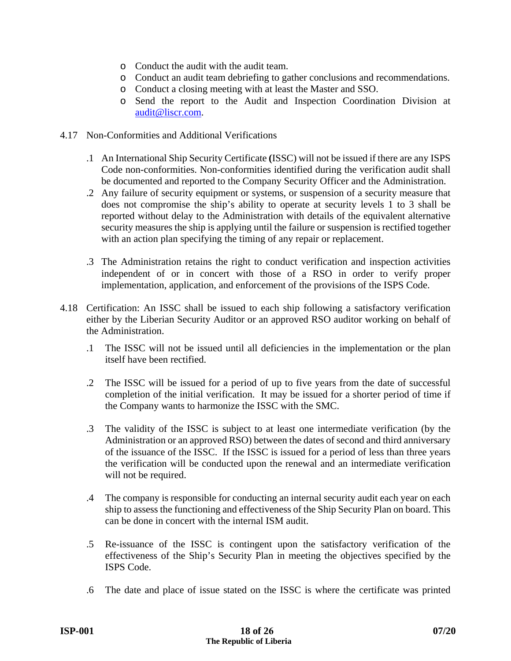- o Conduct the audit with the audit team.
- o Conduct an audit team debriefing to gather conclusions and recommendations.
- o Conduct a closing meeting with at least the Master and SSO.
- o Send the report to the Audit and Inspection Coordination Division at audit@liscr.com.
- 4.17 Non-Conformities and Additional Verifications
	- .1 An International Ship Security Certificate **(**ISSC) will not be issued if there are any ISPS Code non-conformities. Non-conformities identified during the verification audit shall be documented and reported to the Company Security Officer and the Administration.
	- .2 Any failure of security equipment or systems, or suspension of a security measure that does not compromise the ship's ability to operate at security levels 1 to 3 shall be reported without delay to the Administration with details of the equivalent alternative security measures the ship is applying until the failure or suspension is rectified together with an action plan specifying the timing of any repair or replacement.
	- .3 The Administration retains the right to conduct verification and inspection activities independent of or in concert with those of a RSO in order to verify proper implementation, application, and enforcement of the provisions of the ISPS Code.
- 4.18 Certification: An ISSC shall be issued to each ship following a satisfactory verification either by the Liberian Security Auditor or an approved RSO auditor working on behalf of the Administration.
	- .1 The ISSC will not be issued until all deficiencies in the implementation or the plan itself have been rectified.
	- .2 The ISSC will be issued for a period of up to five years from the date of successful completion of the initial verification. It may be issued for a shorter period of time if the Company wants to harmonize the ISSC with the SMC.
	- .3 The validity of the ISSC is subject to at least one intermediate verification (by the Administration or an approved RSO) between the dates of second and third anniversary of the issuance of the ISSC. If the ISSC is issued for a period of less than three years the verification will be conducted upon the renewal and an intermediate verification will not be required.
	- .4 The company is responsible for conducting an internal security audit each year on each ship to assess the functioning and effectiveness of the Ship Security Plan on board. This can be done in concert with the internal ISM audit.
	- .5 Re-issuance of the ISSC is contingent upon the satisfactory verification of the effectiveness of the Ship's Security Plan in meeting the objectives specified by the ISPS Code.
	- .6 The date and place of issue stated on the ISSC is where the certificate was printed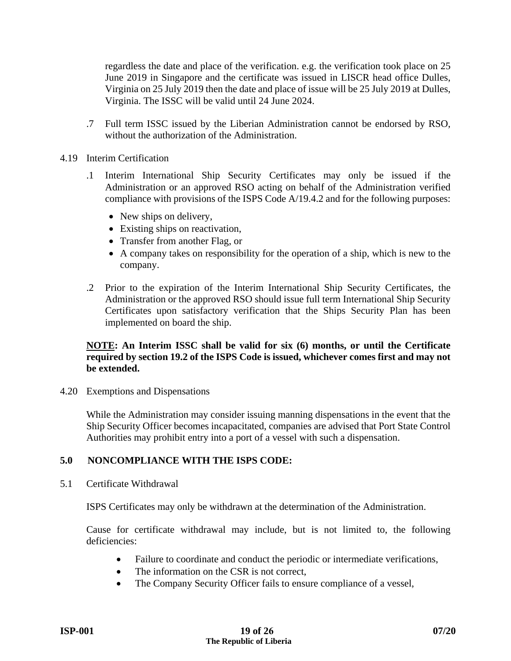regardless the date and place of the verification. e.g. the verification took place on 25 June 2019 in Singapore and the certificate was issued in LISCR head office Dulles, Virginia on 25 July 2019 then the date and place of issue will be 25 July 2019 at Dulles, Virginia. The ISSC will be valid until 24 June 2024.

- .7 Full term ISSC issued by the Liberian Administration cannot be endorsed by RSO, without the authorization of the Administration.
- 4.19 Interim Certification
	- .1 Interim International Ship Security Certificates may only be issued if the Administration or an approved RSO acting on behalf of the Administration verified compliance with provisions of the ISPS Code A/19.4.2 and for the following purposes:
		- New ships on delivery,
		- Existing ships on reactivation,
		- Transfer from another Flag, or
		- A company takes on responsibility for the operation of a ship, which is new to the company.
	- .2 Prior to the expiration of the Interim International Ship Security Certificates, the Administration or the approved RSO should issue full term International Ship Security Certificates upon satisfactory verification that the Ships Security Plan has been implemented on board the ship.

#### **NOTE: An Interim ISSC shall be valid for six (6) months, or until the Certificate required by section 19.2 of the ISPS Code is issued, whichever comes first and may not be extended.**

4.20 Exemptions and Dispensations

While the Administration may consider issuing manning dispensations in the event that the Ship Security Officer becomes incapacitated, companies are advised that Port State Control Authorities may prohibit entry into a port of a vessel with such a dispensation.

#### **5.0 NONCOMPLIANCE WITH THE ISPS CODE:**

5.1 Certificate Withdrawal

ISPS Certificates may only be withdrawn at the determination of the Administration.

Cause for certificate withdrawal may include, but is not limited to, the following deficiencies:

- Failure to coordinate and conduct the periodic or intermediate verifications,
- The information on the CSR is not correct,
- The Company Security Officer fails to ensure compliance of a vessel,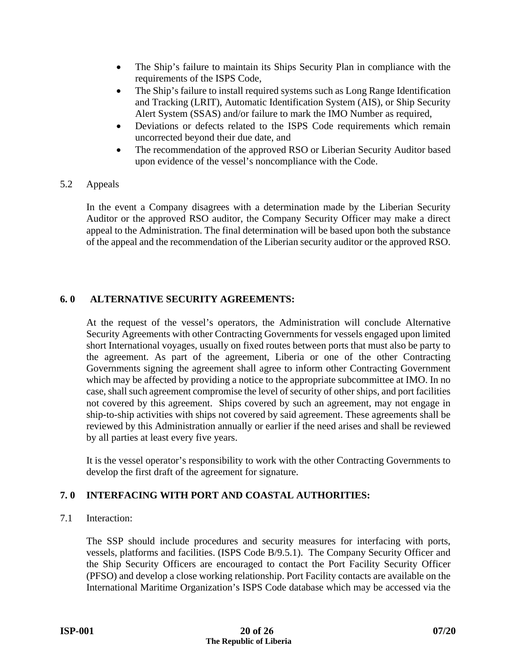- The Ship's failure to maintain its Ships Security Plan in compliance with the requirements of the ISPS Code,
- The Ship's failure to install required systems such as Long Range Identification and Tracking (LRIT), Automatic Identification System (AIS), or Ship Security Alert System (SSAS) and/or failure to mark the IMO Number as required,
- Deviations or defects related to the ISPS Code requirements which remain uncorrected beyond their due date, and
- The recommendation of the approved RSO or Liberian Security Auditor based upon evidence of the vessel's noncompliance with the Code.
- 5.2 Appeals

In the event a Company disagrees with a determination made by the Liberian Security Auditor or the approved RSO auditor, the Company Security Officer may make a direct appeal to the Administration. The final determination will be based upon both the substance of the appeal and the recommendation of the Liberian security auditor or the approved RSO.

#### **6. 0 ALTERNATIVE SECURITY AGREEMENTS:**

At the request of the vessel's operators, the Administration will conclude Alternative Security Agreements with other Contracting Governments for vessels engaged upon limited short International voyages, usually on fixed routes between ports that must also be party to the agreement. As part of the agreement, Liberia or one of the other Contracting Governments signing the agreement shall agree to inform other Contracting Government which may be affected by providing a notice to the appropriate subcommittee at IMO. In no case, shall such agreement compromise the level of security of other ships, and port facilities not covered by this agreement. Ships covered by such an agreement, may not engage in ship-to-ship activities with ships not covered by said agreement. These agreements shall be reviewed by this Administration annually or earlier if the need arises and shall be reviewed by all parties at least every five years.

It is the vessel operator's responsibility to work with the other Contracting Governments to develop the first draft of the agreement for signature.

### **7. 0 INTERFACING WITH PORT AND COASTAL AUTHORITIES:**

7.1 Interaction:

The SSP should include procedures and security measures for interfacing with ports, vessels, platforms and facilities. (ISPS Code B/9.5.1). The Company Security Officer and the Ship Security Officers are encouraged to contact the Port Facility Security Officer (PFSO) and develop a close working relationship. Port Facility contacts are available on the International Maritime Organization's ISPS Code database which may be accessed via the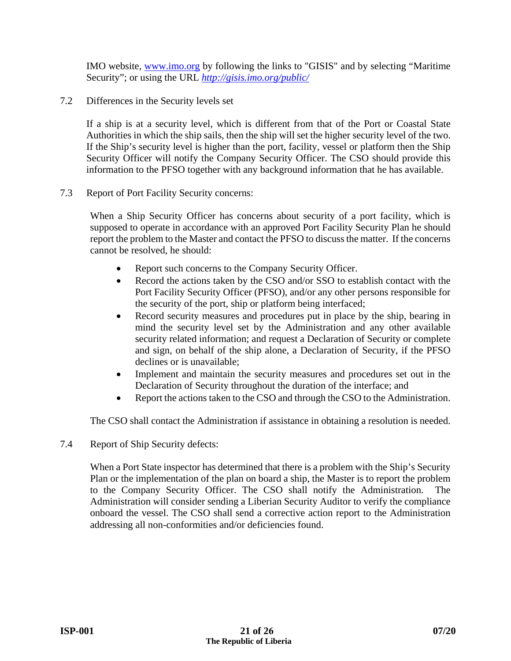IMO website, www.imo.org by following the links to "GISIS" and by selecting "Maritime Security"; or using the URL *http://gisis.imo.org/public/* 

7.2 Differences in the Security levels set

If a ship is at a security level, which is different from that of the Port or Coastal State Authorities in which the ship sails, then the ship will set the higher security level of the two. If the Ship's security level is higher than the port, facility, vessel or platform then the Ship Security Officer will notify the Company Security Officer. The CSO should provide this information to the PFSO together with any background information that he has available.

7.3 Report of Port Facility Security concerns:

When a Ship Security Officer has concerns about security of a port facility, which is supposed to operate in accordance with an approved Port Facility Security Plan he should report the problem to the Master and contact the PFSO to discuss the matter. If the concerns cannot be resolved, he should:

- Report such concerns to the Company Security Officer.
- Record the actions taken by the CSO and/or SSO to establish contact with the Port Facility Security Officer (PFSO), and/or any other persons responsible for the security of the port, ship or platform being interfaced;
- Record security measures and procedures put in place by the ship, bearing in mind the security level set by the Administration and any other available security related information; and request a Declaration of Security or complete and sign, on behalf of the ship alone, a Declaration of Security, if the PFSO declines or is unavailable;
- Implement and maintain the security measures and procedures set out in the Declaration of Security throughout the duration of the interface; and
- Report the actions taken to the CSO and through the CSO to the Administration.

The CSO shall contact the Administration if assistance in obtaining a resolution is needed.

7.4 Report of Ship Security defects:

When a Port State inspector has determined that there is a problem with the Ship's Security Plan or the implementation of the plan on board a ship, the Master is to report the problem to the Company Security Officer. The CSO shall notify the Administration. The Administration will consider sending a Liberian Security Auditor to verify the compliance onboard the vessel. The CSO shall send a corrective action report to the Administration addressing all non-conformities and/or deficiencies found.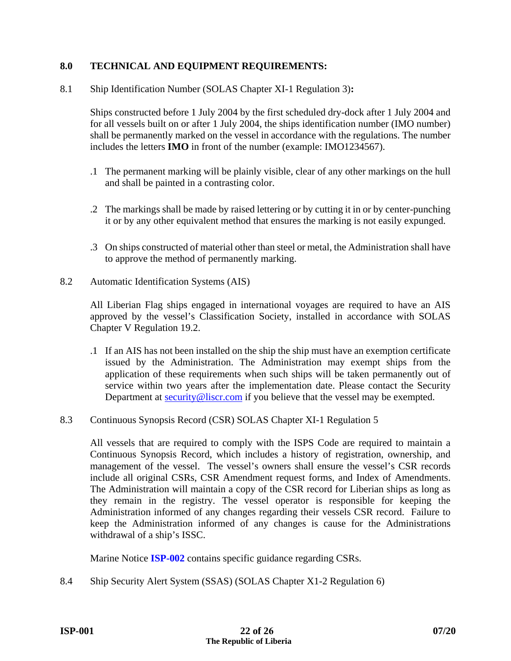#### **8.0 TECHNICAL AND EQUIPMENT REQUIREMENTS:**

8.1 Ship Identification Number (SOLAS Chapter XI-1 Regulation 3)**:**

Ships constructed before 1 July 2004 by the first scheduled dry-dock after 1 July 2004 and for all vessels built on or after 1 July 2004, the ships identification number (IMO number) shall be permanently marked on the vessel in accordance with the regulations. The number includes the letters **IMO** in front of the number (example: IMO1234567).

- .1 The permanent marking will be plainly visible, clear of any other markings on the hull and shall be painted in a contrasting color.
- .2 The markings shall be made by raised lettering or by cutting it in or by center-punching it or by any other equivalent method that ensures the marking is not easily expunged.
- .3 On ships constructed of material other than steel or metal, the Administration shall have to approve the method of permanently marking.
- 8.2 Automatic Identification Systems (AIS)

All Liberian Flag ships engaged in international voyages are required to have an AIS approved by the vessel's Classification Society, installed in accordance with SOLAS Chapter V Regulation 19.2.

- .1 If an AIS has not been installed on the ship the ship must have an exemption certificate issued by the Administration. The Administration may exempt ships from the application of these requirements when such ships will be taken permanently out of service within two years after the implementation date. Please contact the Security Department at **security@liscr.com** if you believe that the vessel may be exempted.
- 8.3 Continuous Synopsis Record (CSR) SOLAS Chapter XI-1 Regulation 5

All vessels that are required to comply with the ISPS Code are required to maintain a Continuous Synopsis Record, which includes a history of registration, ownership, and management of the vessel. The vessel's owners shall ensure the vessel's CSR records include all original CSRs, CSR Amendment request forms, and Index of Amendments. The Administration will maintain a copy of the CSR record for Liberian ships as long as they remain in the registry. The vessel operator is responsible for keeping the Administration informed of any changes regarding their vessels CSR record. Failure to keep the Administration informed of any changes is cause for the Administrations withdrawal of a ship's ISSC.

Marine Notice **[ISP-002](https://www.liscr.com/sites/default/files/online_library/ISP-002_Rev.06-12.pdf)** contains specific guidance regarding CSRs.

8.4 Ship Security Alert System (SSAS) (SOLAS Chapter X1-2 Regulation 6)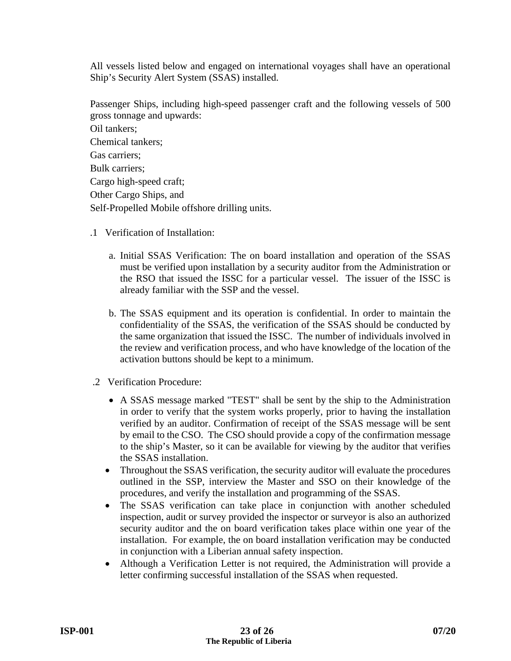All vessels listed below and engaged on international voyages shall have an operational Ship's Security Alert System (SSAS) installed.

Passenger Ships, including high-speed passenger craft and the following vessels of 500 gross tonnage and upwards:

Oil tankers; Chemical tankers; Gas carriers; Bulk carriers; Cargo high-speed craft; Other Cargo Ships, and Self-Propelled Mobile offshore drilling units.

- .1 Verification of Installation:
	- a. Initial SSAS Verification: The on board installation and operation of the SSAS must be verified upon installation by a security auditor from the Administration or the RSO that issued the ISSC for a particular vessel. The issuer of the ISSC is already familiar with the SSP and the vessel.
	- b. The SSAS equipment and its operation is confidential. In order to maintain the confidentiality of the SSAS, the verification of the SSAS should be conducted by the same organization that issued the ISSC. The number of individuals involved in the review and verification process, and who have knowledge of the location of the activation buttons should be kept to a minimum.
- .2 Verification Procedure:
	- A SSAS message marked "TEST" shall be sent by the ship to the Administration in order to verify that the system works properly, prior to having the installation verified by an auditor. Confirmation of receipt of the SSAS message will be sent by email to the CSO. The CSO should provide a copy of the confirmation message to the ship's Master, so it can be available for viewing by the auditor that verifies the SSAS installation.
	- Throughout the SSAS verification, the security auditor will evaluate the procedures outlined in the SSP, interview the Master and SSO on their knowledge of the procedures, and verify the installation and programming of the SSAS.
	- The SSAS verification can take place in conjunction with another scheduled inspection, audit or survey provided the inspector or surveyor is also an authorized security auditor and the on board verification takes place within one year of the installation. For example, the on board installation verification may be conducted in conjunction with a Liberian annual safety inspection.
	- Although a Verification Letter is not required, the Administration will provide a letter confirming successful installation of the SSAS when requested.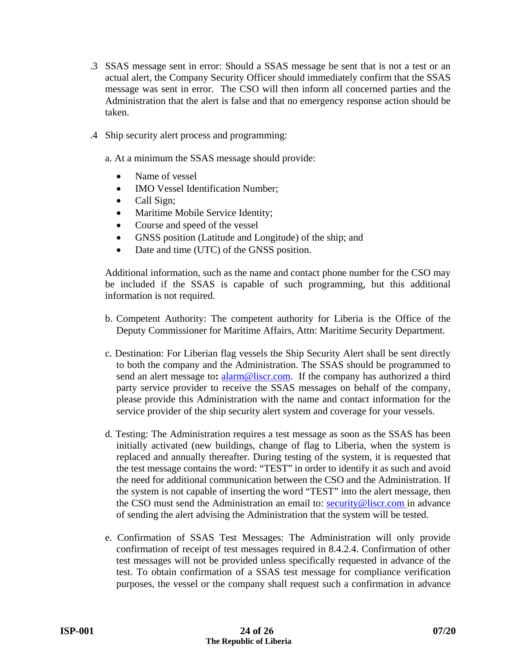- .3 SSAS message sent in error: Should a SSAS message be sent that is not a test or an actual alert, the Company Security Officer should immediately confirm that the SSAS message was sent in error. The CSO will then inform all concerned parties and the Administration that the alert is false and that no emergency response action should be taken.
- .4 Ship security alert process and programming:
	- a. At a minimum the SSAS message should provide:
		- Name of vessel
		- IMO Vessel Identification Number;
		- Call Sign;
		- Maritime Mobile Service Identity;
		- Course and speed of the vessel
		- GNSS position (Latitude and Longitude) of the ship; and
		- Date and time (UTC) of the GNSS position.

Additional information, such as the name and contact phone number for the CSO may be included if the SSAS is capable of such programming, but this additional information is not required.

- b. Competent Authority: The competent authority for Liberia is the Office of the Deputy Commissioner for Maritime Affairs, Attn: Maritime Security Department.
- c. Destination: For Liberian flag vessels the Ship Security Alert shall be sent directly to both the company and the Administration. The SSAS should be programmed to send an alert message to:  $\frac{alam@licc.com}{a}$ . If the company has authorized a third party service provider to receive the SSAS messages on behalf of the company, please provide this Administration with the name and contact information for the service provider of the ship security alert system and coverage for your vessels.
- d. Testing: The Administration requires a test message as soon as the SSAS has been initially activated (new buildings, change of flag to Liberia, when the system is replaced and annually thereafter. During testing of the system, it is requested that the test message contains the word: "TEST" in order to identify it as such and avoid the need for additional communication between the CSO and the Administration. If the system is not capable of inserting the word "TEST" into the alert message, then the CSO must send the Administration an email to: security@liscr.com in advance of sending the alert advising the Administration that the system will be tested.
- e. Confirmation of SSAS Test Messages: The Administration will only provide confirmation of receipt of test messages required in 8.4.2.4. Confirmation of other test messages will not be provided unless specifically requested in advance of the test. To obtain confirmation of a SSAS test message for compliance verification purposes, the vessel or the company shall request such a confirmation in advance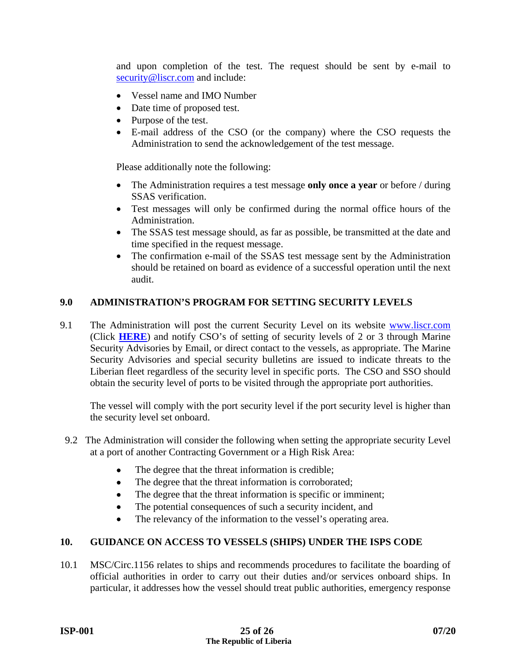and upon completion of the test. The request should be sent by e-mail to security@liscr.com and include:

- Vessel name and IMO Number
- Date time of proposed test.
- Purpose of the test.
- E-mail address of the CSO (or the company) where the CSO requests the Administration to send the acknowledgement of the test message.

Please additionally note the following:

- The Administration requires a test message **only once a year** or before / during SSAS verification.
- Test messages will only be confirmed during the normal office hours of the Administration.
- The SSAS test message should, as far as possible, be transmitted at the date and time specified in the request message.
- The confirmation e-mail of the SSAS test message sent by the Administration should be retained on board as evidence of a successful operation until the next audit.

#### **9.0 ADMINISTRATION'S PROGRAM FOR SETTING SECURITY LEVELS**

9.1 The Administration will post the current Security Level on its website www.liscr.com (Click **[HERE](https://www.liscr.com/maritime/maritime-security-department)**) and notify CSO's of setting of security levels of 2 or 3 through Marine Security Advisories by Email, or direct contact to the vessels, as appropriate. The Marine Security Advisories and special security bulletins are issued to indicate threats to the Liberian fleet regardless of the security level in specific ports. The CSO and SSO should obtain the security level of ports to be visited through the appropriate port authorities.

The vessel will comply with the port security level if the port security level is higher than the security level set onboard.

- 9.2 The Administration will consider the following when setting the appropriate security Level at a port of another Contracting Government or a High Risk Area:
	- The degree that the threat information is credible;
	- The degree that the threat information is corroborated;
	- The degree that the threat information is specific or imminent;
	- The potential consequences of such a security incident, and
	- The relevancy of the information to the vessel's operating area.

#### **10. GUIDANCE ON ACCESS TO VESSELS (SHIPS) UNDER THE ISPS CODE**

10.1 MSC/Circ.1156 relates to ships and recommends procedures to facilitate the boarding of official authorities in order to carry out their duties and/or services onboard ships. In particular, it addresses how the vessel should treat public authorities, emergency response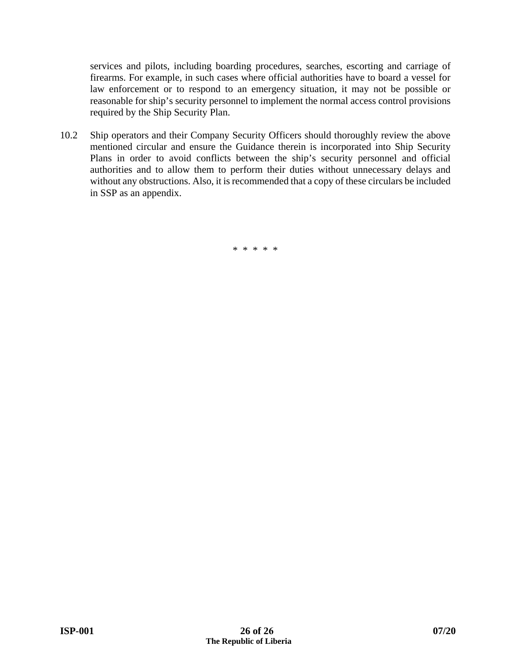services and pilots, including boarding procedures, searches, escorting and carriage of firearms. For example, in such cases where official authorities have to board a vessel for law enforcement or to respond to an emergency situation, it may not be possible or reasonable for ship's security personnel to implement the normal access control provisions required by the Ship Security Plan.

10.2 Ship operators and their Company Security Officers should thoroughly review the above mentioned circular and ensure the Guidance therein is incorporated into Ship Security Plans in order to avoid conflicts between the ship's security personnel and official authorities and to allow them to perform their duties without unnecessary delays and without any obstructions. Also, it is recommended that a copy of these circulars be included in SSP as an appendix.

\* \* \* \* \*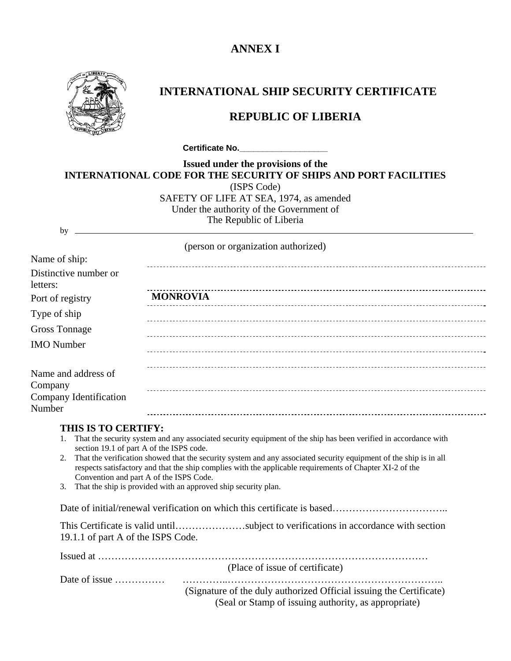## **ANNEX I**



# **INTERNATIONAL SHIP SECURITY CERTIFICATE**

## **REPUBLIC OF LIBERIA**

**Certificate No. CERTIFICATE 2008** 

| Issued under the provisions of the                                      |  |  |
|-------------------------------------------------------------------------|--|--|
| <b>INTERNATIONAL CODE FOR THE SECURITY OF SHIPS AND PORT FACILITIES</b> |  |  |
| (ISPS Code)                                                             |  |  |
| SAFETY OF LIFE AT SEA, 1974, as amended                                 |  |  |
| Under the authority of the Government of                                |  |  |
| The Republic of Liberia                                                 |  |  |
|                                                                         |  |  |

(person or organization authorized)

| Name of ship:                     |                 |
|-----------------------------------|-----------------|
| Distinctive number or<br>letters: |                 |
| Port of registry                  | <b>MONROVIA</b> |
| Type of ship                      |                 |
| <b>Gross Tonnage</b>              |                 |
| <b>IMO</b> Number                 |                 |
| Name and address of<br>Company    |                 |
| Company Identification<br>Number  |                 |

#### **THIS IS TO CERTIFY:**

- 1. That the security system and any associated security equipment of the ship has been verified in accordance with section 19.1 of part A of the ISPS code.
- 2. That the verification showed that the security system and any associated security equipment of the ship is in all respects satisfactory and that the ship complies with the applicable requirements of Chapter XI-2 of the Convention and part A of the ISPS Code.
- 3. That the ship is provided with an approved ship security plan.

Date of initial/renewal verification on which this certificate is based…………………………

| This Certificate is valid untilsubject to verifications in accordance with section |  |  |
|------------------------------------------------------------------------------------|--|--|
| 19.1.1 of part A of the ISPS Code.                                                 |  |  |

| (Place of issue of certificate)                                     |
|---------------------------------------------------------------------|
|                                                                     |
| (Signature of the duly authorized Official issuing the Certificate) |
| (Seal or Stamp of issuing authority, as appropriate)                |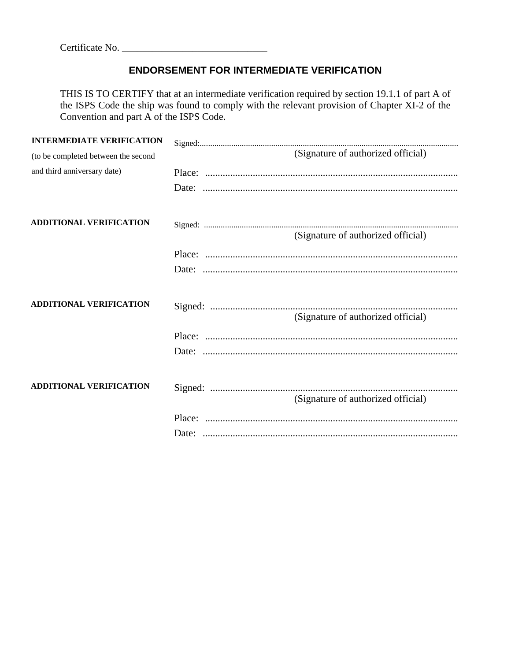## **ENDORSEMENT FOR INTERMEDIATE VERIFICATION**

THIS IS TO CERTIFY that at an intermediate verification required by section 19.1.1 of part A of the ISPS Code the ship was found to comply with the relevant provision of Chapter XI-2 of the Convention and part A of the ISPS Code.

| <b>INTERMEDIATE VERIFICATION</b>    |                                    |
|-------------------------------------|------------------------------------|
| (to be completed between the second | (Signature of authorized official) |
| and third anniversary date)         |                                    |
|                                     |                                    |
| <b>ADDITIONAL VERIFICATION</b>      |                                    |
|                                     | (Signature of authorized official) |
|                                     |                                    |
|                                     |                                    |
| <b>ADDITIONAL VERIFICATION</b>      | (Signature of authorized official) |
|                                     |                                    |
|                                     |                                    |
| <b>ADDITIONAL VERIFICATION</b>      | (Signature of authorized official) |
|                                     |                                    |
|                                     |                                    |